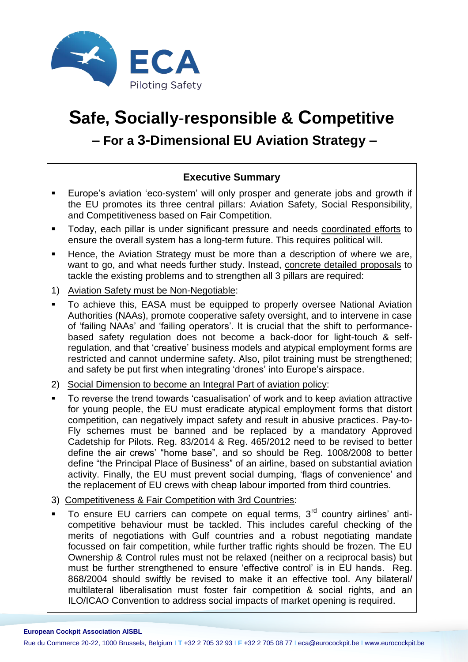

# **Safe, Socially**-**responsible & Competitive – For a 3-Dimensional EU Aviation Strategy –**

## **Executive Summary**

- Europe's aviation 'eco-system' will only prosper and generate jobs and growth if the EU promotes its three central pillars: Aviation Safety, Social Responsibility, and Competitiveness based on Fair Competition.
- Today, each pillar is under significant pressure and needs coordinated efforts to ensure the overall system has a long-term future. This requires political will.
- **Hence, the Aviation Strategy must be more than a description of where we are,** want to go, and what needs further study. Instead, concrete detailed proposals to tackle the existing problems and to strengthen all 3 pillars are required:
- 1) Aviation Safety must be Non-Negotiable:
- **To achieve this, EASA must be equipped to properly oversee National Aviation** Authorities (NAAs), promote cooperative safety oversight, and to intervene in case of 'failing NAAs' and 'failing operators'. It is crucial that the shift to performancebased safety regulation does not become a back-door for light-touch & selfregulation, and that 'creative' business models and atypical employment forms are restricted and cannot undermine safety. Also, pilot training must be strengthened; and safety be put first when integrating 'drones' into Europe's airspace.
- 2) Social Dimension to become an Integral Part of aviation policy:
- To reverse the trend towards 'casualisation' of work and to keep aviation attractive for young people, the EU must eradicate atypical employment forms that distort competition, can negatively impact safety and result in abusive practices. Pay-to-Fly schemes must be banned and be replaced by a mandatory Approved Cadetship for Pilots. Reg. 83/2014 & Reg. 465/2012 need to be revised to better define the air crews' "home base", and so should be Reg. 1008/2008 to better define "the Principal Place of Business" of an airline, based on substantial aviation activity. Finally, the EU must prevent social dumping, 'flags of convenience' and the replacement of EU crews with cheap labour imported from third countries.
- 3) Competitiveness & Fair Competition with 3rd Countries:
- To ensure EU carriers can compete on equal terms, 3<sup>rd</sup> country airlines' anticompetitive behaviour must be tackled. This includes careful checking of the merits of negotiations with Gulf countries and a robust negotiating mandate focussed on fair competition, while further traffic rights should be frozen. The EU Ownership & Control rules must not be relaxed (neither on a reciprocal basis) but must be further strengthened to ensure 'effective control' is in EU hands. Reg. 868/2004 should swiftly be revised to make it an effective tool. Any bilateral/ multilateral liberalisation must foster fair competition & social rights, and an ILO/ICAO Convention to address social impacts of market opening is required.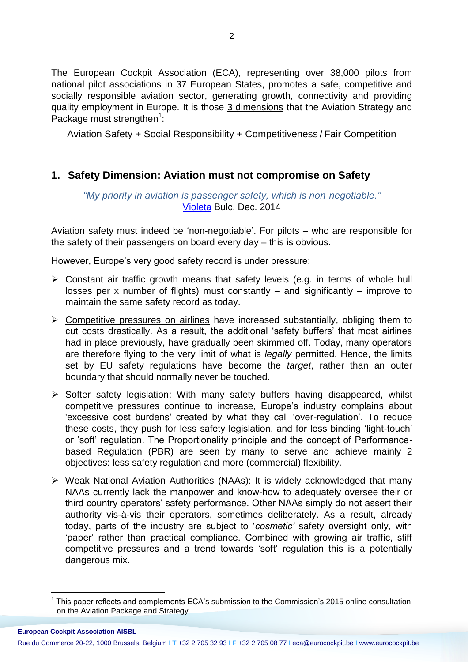The European Cockpit Association (ECA), representing over 38,000 pilots from national pilot associations in 37 European States, promotes a safe, competitive and socially responsible aviation sector, generating growth, connectivity and providing quality employment in Europe. It is those 3 dimensions that the Aviation Strategy and Package must strengthen<sup>1</sup>:

Aviation Safety + Social Responsibility + Competitiveness / Fair Competition

### **1. Safety Dimension: Aviation must not compromise on Safety**

*"My priority in aviation is passenger safety, which is non-negotiable."* [Violeta](http://ec.europa.eu/transport/newsletters/2014/12-12/newsletter-print_en.htm) Bulc, Dec. 2014

Aviation safety must indeed be 'non-negotiable'. For pilots – who are responsible for the safety of their passengers on board every day – this is obvious.

However, Europe's very good safety record is under pressure:

- $\triangleright$  Constant air traffic growth means that safety levels (e.g. in terms of whole hull losses per x number of flights) must constantly – and significantly – improve to maintain the same safety record as today.
- $\triangleright$  Competitive pressures on airlines have increased substantially, obliging them to cut costs drastically. As a result, the additional 'safety buffers' that most airlines had in place previously, have gradually been skimmed off. Today, many operators are therefore flying to the very limit of what is *legally* permitted. Hence, the limits set by EU safety regulations have become the *target*, rather than an outer boundary that should normally never be touched.
- $\triangleright$  Softer safety legislation: With many safety buffers having disappeared, whilst competitive pressures continue to increase, Europe's industry complains about 'excessive cost burdens' created by what they call 'over-regulation'. To reduce these costs, they push for less safety legislation, and for less binding 'light-touch' or 'soft' regulation. The Proportionality principle and the concept of Performancebased Regulation (PBR) are seen by many to serve and achieve mainly 2 objectives: less safety regulation and more (commercial) flexibility.
- ▶ Weak National Aviation Authorities (NAAs): It is widely acknowledged that many NAAs currently lack the manpower and know-how to adequately oversee their or third country operators' safety performance. Other NAAs simply do not assert their authority vis-à-vis their operators, sometimes deliberately. As a result, already today, parts of the industry are subject to '*cosmetic'* safety oversight only, with 'paper' rather than practical compliance. Combined with growing air traffic, stiff competitive pressures and a trend towards 'soft' regulation this is a potentially dangerous mix.

 $\overline{a}$ 

<sup>1</sup> This paper reflects and complements ECA's submission to the Commission's 2015 online consultation on the Aviation Package and Strategy.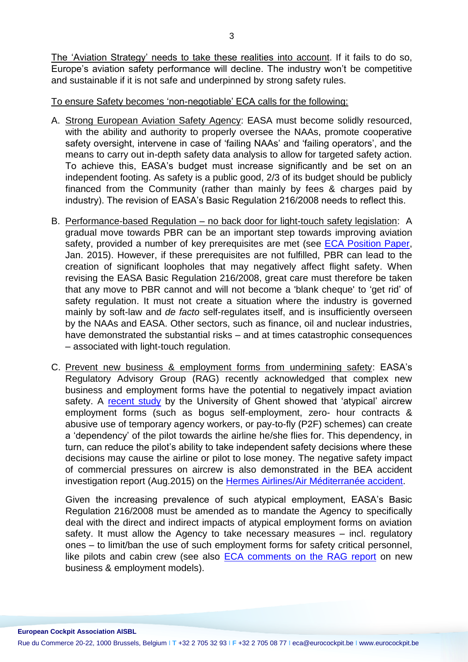The 'Aviation Strategy' needs to take these realities into account. If it fails to do so, Europe's aviation safety performance will decline. The industry won't be competitive and sustainable if it is not safe and underpinned by strong safety rules.

#### To ensure Safety becomes 'non-negotiable' ECA calls for the following:

- A. Strong European Aviation Safety Agency: EASA must become solidly resourced, with the ability and authority to properly oversee the NAAs, promote cooperative safety oversight, intervene in case of 'failing NAAs' and 'failing operators', and the means to carry out in-depth safety data analysis to allow for targeted safety action. To achieve this, EASA's budget must increase significantly and be set on an independent footing. As safety is a public good, 2/3 of its budget should be publicly financed from the Community (rather than mainly by fees & charges paid by industry). The revision of EASA's Basic Regulation 216/2008 needs to reflect this.
- B. Performance-based Regulation no back door for light-touch safety legislation: A gradual move towards PBR can be an important step towards improving aviation safety, provided a number of key prerequisites are met (see [ECA Position Paper,](https://www.eurocockpit.be/stories/20150128/performance-based-safety-regulation-oversight) Jan. 2015). However, if these prerequisites are not fulfilled, PBR can lead to the creation of significant loopholes that may negatively affect flight safety. When revising the EASA Basic Regulation 216/2008, great care must therefore be taken that any move to PBR cannot and will not become a 'blank cheque' to 'get rid' of safety regulation. It must not create a situation where the industry is governed mainly by soft-law and *de facto* self-regulates itself, and is insufficiently overseen by the NAAs and EASA. Other sectors, such as finance, oil and nuclear industries, have demonstrated the substantial risks – and at times catastrophic consequences – associated with light-touch regulation.
- C. Prevent new business & employment forms from undermining safety: EASA's Regulatory Advisory Group (RAG) recently acknowledged that complex new business and employment forms have the potential to negatively impact aviation safety. A [recent study](https://www.eurocockpit.be/stories/20150212/dramatic-rise-in-self-employment-and-zero-hours-contracts-for-crew-on-european-airc) by the University of Ghent showed that 'atypical' aircrew employment forms (such as bogus self-employment, zero- hour contracts & abusive use of temporary agency workers, or pay-to-fly (P2F) schemes) can create a 'dependency' of the pilot towards the airline he/she flies for. This dependency, in turn, can reduce the pilot's ability to take independent safety decisions where these decisions may cause the airline or pilot to lose money. The negative safety impact of commercial pressures on aircrew is also demonstrated in the BEA accident investigation report (Aug.2015) on the [Hermes Airlines/Air Méditerranée accident.](http://www.bea.aero/docspa/2013/sx-s130329.en/pdf/sx-s130329.en.pdf)

Given the increasing prevalence of such atypical employment, EASA's Basic Regulation 216/2008 must be amended as to mandate the Agency to specifically deal with the direct and indirect impacts of atypical employment forms on aviation safety. It must allow the Agency to take necessary measures – incl. regulatory ones – to limit/ban the use of such employment forms for safety critical personnel, like pilots and cabin crew (see also [ECA comments on the RAG report](https://www.eurocockpit.be/stories/20150528/new-business-employment-forms-in-aviation) on new business & employment models).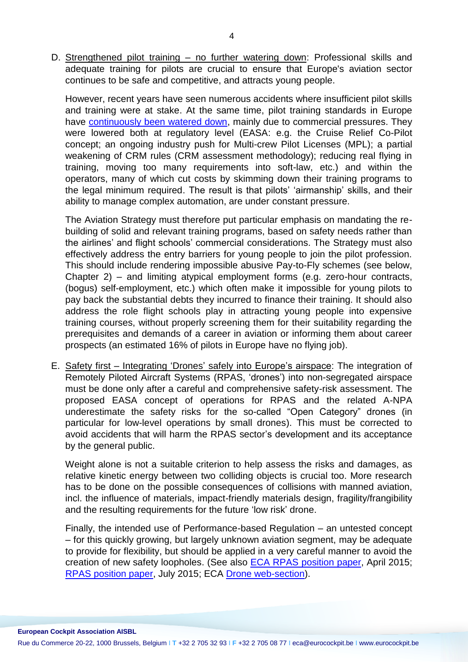D. Strengthened pilot training – no further watering down: Professional skills and adequate training for pilots are crucial to ensure that Europe's aviation sector continues to be safe and competitive, and attracts young people.

However, recent years have seen numerous accidents where insufficient pilot skills and training were at stake. At the same time, pilot training standards in Europe have [continuously been watered down,](https://www.eurocockpit.be/pages/pilot-training-not-on-auto-pilot) mainly due to commercial pressures. They were lowered both at regulatory level (EASA: e.g. the Cruise Relief Co-Pilot concept; an ongoing industry push for Multi-crew Pilot Licenses (MPL); a partial weakening of CRM rules (CRM assessment methodology); reducing real flying in training, moving too many requirements into soft-law, etc.) and within the operators, many of which cut costs by skimming down their training programs to the legal minimum required. The result is that pilots' 'airmanship' skills, and their ability to manage complex automation, are under constant pressure.

The Aviation Strategy must therefore put particular emphasis on mandating the rebuilding of solid and relevant training programs, based on safety needs rather than the airlines' and flight schools' commercial considerations. The Strategy must also effectively address the entry barriers for young people to join the pilot profession. This should include rendering impossible abusive Pay-to-Fly schemes (see below, Chapter 2) – and limiting atypical employment forms (e.g. zero-hour contracts, (bogus) self-employment, etc.) which often make it impossible for young pilots to pay back the substantial debts they incurred to finance their training. It should also address the role flight schools play in attracting young people into expensive training courses, without properly screening them for their suitability regarding the prerequisites and demands of a career in aviation or informing them about career prospects (an estimated 16% of pilots in Europe have no flying job).

E. Safety first – Integrating 'Drones' safely into Europe's airspace: The integration of Remotely Piloted Aircraft Systems (RPAS, 'drones') into non-segregated airspace must be done only after a careful and comprehensive safety-risk assessment. The proposed EASA concept of operations for RPAS and the related A-NPA underestimate the safety risks for the so-called "Open Category" drones (in particular for low-level operations by small drones). This must be corrected to avoid accidents that will harm the RPAS sector's development and its acceptance by the general public.

Weight alone is not a suitable criterion to help assess the risks and damages, as relative kinetic energy between two colliding objects is crucial too. More research has to be done on the possible consequences of collisions with manned aviation, incl. the influence of materials, impact-friendly materials design, fragility/frangibility and the resulting requirements for the future 'low risk' drone.

Finally, the intended use of Performance-based Regulation – an untested concept – for this quickly growing, but largely unknown aviation segment, may be adequate to provide for flexibility, but should be applied in a very careful manner to avoid the creation of new safety loopholes. (See also [ECA RPAS position paper,](https://www.eurocockpit.be/stories/20150423/airborne-threats-of-low-level-remotely-piloted-aircraft-system-rpas) April 2015; [RPAS position paper,](https://www.eurocockpit.be/stories/20150724/the-rpas-open-category-in-easa-s-concept-of-operations-for-drones) July 2015; ECA [Drone web-section\)](https://www.eurocockpit.be/pages/remotely-piloted-aircraft-systems-drones).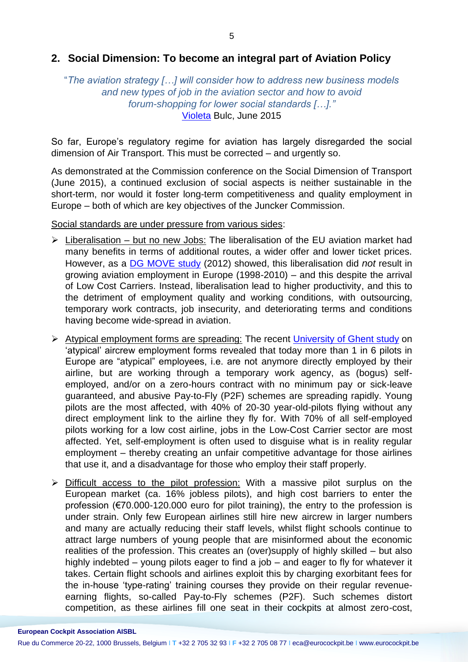#### **2. Social Dimension: To become an integral part of Aviation Policy**

#### "*The aviation strategy […] will consider how to address new business models and new types of job in the aviation sector and how to avoid forum-shopping for lower social standards […]."* [Violeta](http://europa.eu/rapid/press-release_SPEECH-15-5125_en.htm) Bulc, June 2015

So far, Europe's regulatory regime for aviation has largely disregarded the social dimension of Air Transport. This must be corrected – and urgently so.

As demonstrated at the Commission conference on the Social Dimension of Transport (June 2015), a continued exclusion of social aspects is neither sustainable in the short-term, nor would it foster long-term competitiveness and quality employment in Europe – both of which are key objectives of the Juncker Commission.

Social standards are under pressure from various sides:

- $\triangleright$  Liberalisation but no new Jobs: The liberalisation of the EU aviation market had many benefits in terms of additional routes, a wider offer and lower ticket prices. However, as a [DG MOVE study](http://ec.europa.eu/transport/modes/air/studies/doc/internal_market/employment_project_final_report_for_publication.pdf) (2012) showed, this liberalisation did *not* result in growing aviation employment in Europe (1998-2010) – and this despite the arrival of Low Cost Carriers. Instead, liberalisation lead to higher productivity, and this to the detriment of employment quality and working conditions, with outsourcing, temporary work contracts, job insecurity, and deteriorating terms and conditions having become wide-spread in aviation.
- Atypical employment forms are spreading: The recent [University of Ghent study](https://www.eurocockpit.be/stories/20150212/dramatic-rise-in-self-employment-and-zero-hours-contracts-for-crew-on-european-airc) on 'atypical' aircrew employment forms revealed that today more than 1 in 6 pilots in Europe are "atypical" employees, i.e. are not anymore directly employed by their airline, but are working through a temporary work agency, as (bogus) selfemployed, and/or on a zero-hours contract with no minimum pay or sick-leave guaranteed, and abusive Pay-to-Fly (P2F) schemes are spreading rapidly. Young pilots are the most affected, with 40% of 20-30 year-old-pilots flying without any direct employment link to the airline they fly for. With 70% of all self-employed pilots working for a low cost airline, jobs in the Low-Cost Carrier sector are most affected. Yet, self-employment is often used to disguise what is in reality regular employment – thereby creating an unfair competitive advantage for those airlines that use it, and a disadvantage for those who employ their staff properly.
- $\triangleright$  Difficult access to the pilot profession: With a massive pilot surplus on the European market (ca. 16% jobless pilots), and high cost barriers to enter the profession (€70.000-120.000 euro for pilot training), the entry to the profession is under strain. Only few European airlines still hire new aircrew in larger numbers and many are actually reducing their staff levels, whilst flight schools continue to attract large numbers of young people that are misinformed about the economic realities of the profession. This creates an (over)supply of highly skilled – but also highly indebted – young pilots eager to find a job – and eager to fly for whatever it takes. Certain flight schools and airlines exploit this by charging exorbitant fees for the in-house 'type-rating' training courses they provide on their regular revenueearning flights, so-called Pay-to-Fly schemes (P2F). Such schemes distort competition, as these airlines fill one seat in their cockpits at almost zero-cost,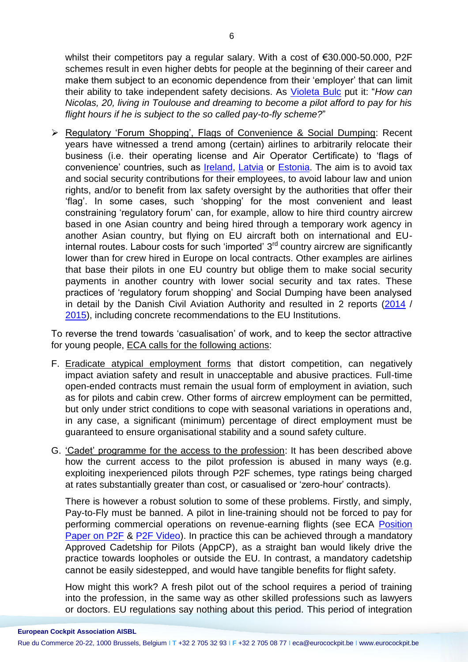whilst their competitors pay a regular salary. With a cost of €30.000-50.000, P2F schemes result in even higher debts for people at the beginning of their career and make them subject to an economic dependence from their 'employer' that can limit their ability to take independent safety decisions. As [Violeta Bulc](http://europa.eu/rapid/press-release_SPEECH-15-5125_en.htm) put it: "*How can Nicolas, 20, living in Toulouse and dreaming to become a pilot afford to pay for his flight hours if he is subject to the so called pay-to-fly scheme?*"

 Regulatory 'Forum Shopping', Flags of Convenience & Social Dumping: Recent years have witnessed a trend among (certain) airlines to arbitrarily relocate their business (i.e. their operating license and Air Operator Certificate) to 'flags of convenience' countries, such as [Ireland,](https://www.eurocockpit.be/stories/20140903/norwegian-s-harmful-business-model-slowed-by-us-authorities) [Latvia](https://www.eurocockpit.be/stories/20150408/the-little-differently-philosophy-of-primera-air) or [Estonia.](https://www.eurocockpit.be/stories/20141106/safety-oversight-is-anybody-out-there) The aim is to avoid tax and social security contributions for their employees, to avoid labour law and union rights, and/or to benefit from lax safety oversight by the authorities that offer their 'flag'. In some cases, such 'shopping' for the most convenient and least constraining 'regulatory forum' can, for example, allow to hire third country aircrew based in one Asian country and being hired through a temporary work agency in another Asian country, but flying on EU aircraft both on international and EUinternal routes. Labour costs for such 'imported' 3<sup>rd</sup> country aircrew are significantly lower than for crew hired in Europe on local contracts. Other examples are airlines that base their pilots in one EU country but oblige them to make social security payments in another country with lower social security and tax rates. These practices of 'regulatory forum shopping' and Social Dumping have been analysed in detail by the Danish Civil Aviation Authority and resulted in 2 reports [\(2014](https://www.eurocockpit.be/sites/default/files/social_dumping_rt_danish_transport_authority_2014.pdf) / [2015\)](https://www.eurocockpit.be/sites/default/files/social_dumping_-_rapport_om_social_dumping_indenfor_luftfart_engelsk_version_2.pdf), including concrete recommendations to the EU Institutions.

To reverse the trend towards 'casualisation' of work, and to keep the sector attractive for young people, ECA calls for the following actions:

- F. Eradicate atypical employment forms that distort competition, can negatively impact aviation safety and result in unacceptable and abusive practices. Full-time open-ended contracts must remain the usual form of employment in aviation, such as for pilots and cabin crew. Other forms of aircrew employment can be permitted, but only under strict conditions to cope with seasonal variations in operations and, in any case, a significant (minimum) percentage of direct employment must be guaranteed to ensure organisational stability and a sound safety culture.
- G. 'Cadet' programme for the access to the profession: It has been described above how the current access to the pilot profession is abused in many ways (e.g. exploiting inexperienced pilots through P2F schemes, type ratings being charged at rates substantially greater than cost, or casualised or 'zero-hour' contracts).

There is however a robust solution to some of these problems. Firstly, and simply, Pay-to-Fly must be banned. A pilot in line-training should not be forced to pay for performing commercial operations on revenue-earning flights (see ECA [Position](https://www.eurocockpit.be/stories/20150424/pay-to-fly-p2f-in-pilots-training)  [Paper on P2F](https://www.eurocockpit.be/stories/20150424/pay-to-fly-p2f-in-pilots-training) & [P2F Video\)](https://www.facebook.com/EuropeanCockpitAssociation/videos/10153992531260752/?comment_id=10153993231825752). In practice this can be achieved through a mandatory Approved Cadetship for Pilots (AppCP), as a straight ban would likely drive the practice towards loopholes or outside the EU. In contrast, a mandatory cadetship cannot be easily sidestepped, and would have tangible benefits for flight safety.

How might this work? A fresh pilot out of the school requires a period of training into the profession, in the same way as other skilled professions such as lawyers or doctors. EU regulations say nothing about this period. This period of integration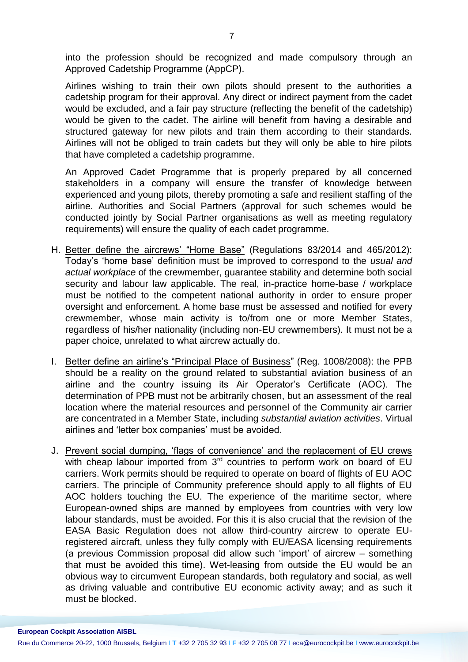into the profession should be recognized and made compulsory through an Approved Cadetship Programme (AppCP).

Airlines wishing to train their own pilots should present to the authorities a cadetship program for their approval. Any direct or indirect payment from the cadet would be excluded, and a fair pay structure (reflecting the benefit of the cadetship) would be given to the cadet. The airline will benefit from having a desirable and structured gateway for new pilots and train them according to their standards. Airlines will not be obliged to train cadets but they will only be able to hire pilots that have completed a cadetship programme.

An Approved Cadet Programme that is properly prepared by all concerned stakeholders in a company will ensure the transfer of knowledge between experienced and young pilots, thereby promoting a safe and resilient staffing of the airline. Authorities and Social Partners (approval for such schemes would be conducted jointly by Social Partner organisations as well as meeting regulatory requirements) will ensure the quality of each cadet programme.

- H. Better define the aircrews' "Home Base" (Regulations 83/2014 and 465/2012): Today's 'home base' definition must be improved to correspond to the *usual and actual workplace* of the crewmember, guarantee stability and determine both social security and labour law applicable. The real, in-practice home-base / workplace must be notified to the competent national authority in order to ensure proper oversight and enforcement. A home base must be assessed and notified for every crewmember, whose main activity is to/from one or more Member States, regardless of his/her nationality (including non-EU crewmembers). It must not be a paper choice, unrelated to what aircrew actually do.
- I. Better define an airline's "Principal Place of Business" (Reg. 1008/2008): the PPB should be a reality on the ground related to substantial aviation business of an airline and the country issuing its Air Operator's Certificate (AOC). The determination of PPB must not be arbitrarily chosen, but an assessment of the real location where the material resources and personnel of the Community air carrier are concentrated in a Member State, including *substantial aviation activities*. Virtual airlines and 'letter box companies' must be avoided.
- J. Prevent social dumping, 'flags of convenience' and the replacement of EU crews with cheap labour imported from  $3<sup>rd</sup>$  countries to perform work on board of EU carriers. Work permits should be required to operate on board of flights of EU AOC carriers. The principle of Community preference should apply to all flights of EU AOC holders touching the EU. The experience of the maritime sector, where European-owned ships are manned by employees from countries with very low labour standards, must be avoided. For this it is also crucial that the revision of the EASA Basic Regulation does not allow third-country aircrew to operate EUregistered aircraft, unless they fully comply with EU/EASA licensing requirements (a previous Commission proposal did allow such 'import' of aircrew – something that must be avoided this time). Wet-leasing from outside the EU would be an obvious way to circumvent European standards, both regulatory and social, as well as driving valuable and contributive EU economic activity away; and as such it must be blocked.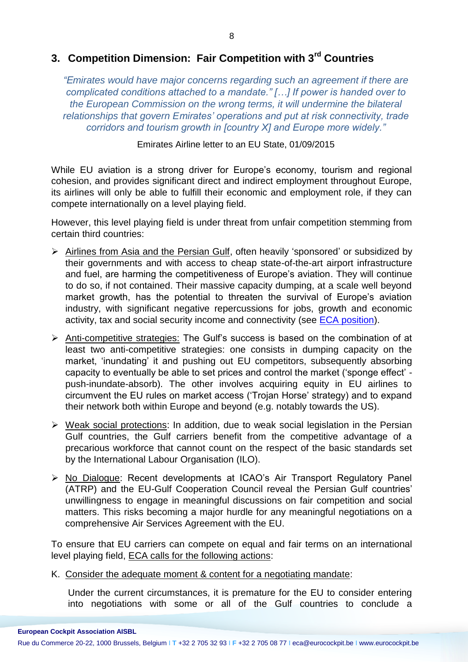## **3. Competition Dimension: Fair Competition with 3rd Countries**

*"Emirates would have major concerns regarding such an agreement if there are complicated conditions attached to a mandate." […] If power is handed over to the European Commission on the wrong terms, it will undermine the bilateral relationships that govern Emirates' operations and put at risk connectivity, trade corridors and tourism growth in [country X] and Europe more widely."*

Emirates Airline letter to an EU State, 01/09/2015

While EU aviation is a strong driver for Europe's economy, tourism and regional cohesion, and provides significant direct and indirect employment throughout Europe, its airlines will only be able to fulfill their economic and employment role, if they can compete internationally on a level playing field.

However, this level playing field is under threat from unfair competition stemming from certain third countries:

- ▶ Airlines from Asia and the Persian Gulf, often heavily 'sponsored' or subsidized by their governments and with access to cheap state-of-the-art airport infrastructure and fuel, are harming the competitiveness of Europe's aviation. They will continue to do so, if not contained. Their massive capacity dumping, at a scale well beyond market growth, has the potential to threaten the survival of Europe's aviation industry, with significant negative repercussions for jobs, growth and economic activity, tax and social security income and connectivity (see [ECA position\)](https://www.eurocockpit.be/stories/20150805/eca-submission-to-the-us-consultation-on-gulf-carriers-subsidy-claims).
- $\triangleright$  Anti-competitive strategies: The Gulf's success is based on the combination of at least two anti-competitive strategies: one consists in dumping capacity on the market, 'inundating' it and pushing out EU competitors, subsequently absorbing capacity to eventually be able to set prices and control the market ('sponge effect' push-inundate-absorb). The other involves acquiring equity in EU airlines to circumvent the EU rules on market access ('Trojan Horse' strategy) and to expand their network both within Europe and beyond (e.g. notably towards the US).
- $\triangleright$  Weak social protections: In addition, due to weak social legislation in the Persian Gulf countries, the Gulf carriers benefit from the competitive advantage of a precarious workforce that cannot count on the respect of the basic standards set by the International Labour Organisation (ILO).
- No Dialogue: Recent developments at ICAO's Air Transport Regulatory Panel (ATRP) and the EU-Gulf Cooperation Council reveal the Persian Gulf countries' unwillingness to engage in meaningful discussions on fair competition and social matters. This risks becoming a major hurdle for any meaningful negotiations on a comprehensive Air Services Agreement with the EU.

To ensure that EU carriers can compete on equal and fair terms on an international level playing field, ECA calls for the following actions:

K. Consider the adequate moment & content for a negotiating mandate:

Under the current circumstances, it is premature for the EU to consider entering into negotiations with some or all of the Gulf countries to conclude a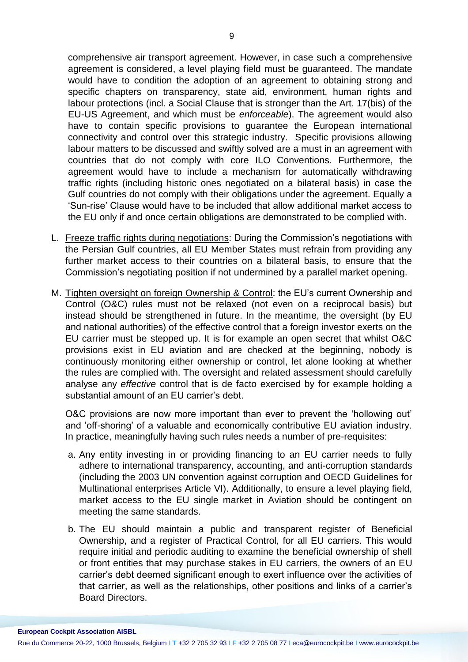comprehensive air transport agreement. However, in case such a comprehensive agreement is considered, a level playing field must be guaranteed. The mandate would have to condition the adoption of an agreement to obtaining strong and specific chapters on transparency, state aid, environment, human rights and labour protections (incl. a Social Clause that is stronger than the Art. 17(bis) of the EU-US Agreement, and which must be *enforceable*). The agreement would also have to contain specific provisions to guarantee the European international connectivity and control over this strategic industry. Specific provisions allowing labour matters to be discussed and swiftly solved are a must in an agreement with countries that do not comply with core ILO Conventions. Furthermore, the agreement would have to include a mechanism for automatically withdrawing traffic rights (including historic ones negotiated on a bilateral basis) in case the Gulf countries do not comply with their obligations under the agreement. Equally a 'Sun-rise' Clause would have to be included that allow additional market access to the EU only if and once certain obligations are demonstrated to be complied with.

- L. Freeze traffic rights during negotiations: During the Commission's negotiations with the Persian Gulf countries, all EU Member States must refrain from providing any further market access to their countries on a bilateral basis, to ensure that the Commission's negotiating position if not undermined by a parallel market opening.
- M. Tighten oversight on foreign Ownership & Control: the EU's current Ownership and Control (O&C) rules must not be relaxed (not even on a reciprocal basis) but instead should be strengthened in future. In the meantime, the oversight (by EU and national authorities) of the effective control that a foreign investor exerts on the EU carrier must be stepped up. It is for example an open secret that whilst O&C provisions exist in EU aviation and are checked at the beginning, nobody is continuously monitoring either ownership or control, let alone looking at whether the rules are complied with. The oversight and related assessment should carefully analyse any *effective* control that is de facto exercised by for example holding a substantial amount of an EU carrier's debt.

O&C provisions are now more important than ever to prevent the 'hollowing out' and 'off-shoring' of a valuable and economically contributive EU aviation industry. In practice, meaningfully having such rules needs a number of pre-requisites:

- a. Any entity investing in or providing financing to an EU carrier needs to fully adhere to international transparency, accounting, and anti-corruption standards (including the 2003 UN convention against corruption and OECD Guidelines for Multinational enterprises Article VI). Additionally, to ensure a level playing field, market access to the EU single market in Aviation should be contingent on meeting the same standards.
- b. The EU should maintain a public and transparent register of Beneficial Ownership, and a register of Practical Control, for all EU carriers. This would require initial and periodic auditing to examine the beneficial ownership of shell or front entities that may purchase stakes in EU carriers, the owners of an EU carrier's debt deemed significant enough to exert influence over the activities of that carrier, as well as the relationships, other positions and links of a carrier's Board Directors.